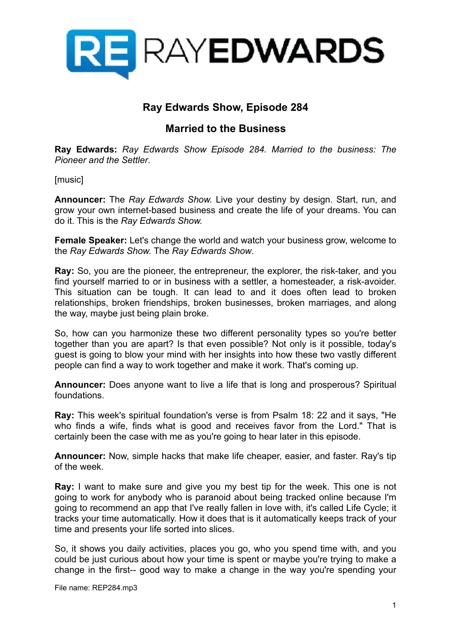

# **Ray Edwards Show, Episode 284**

## **Married to the Business**

**Ray Edwards:** *Ray Edwards Show Episode 284. Married to the business: The Pioneer and the Settler*.

[music]

**Announcer:** The *Ray Edwards Show.* Live your destiny by design. Start, run, and grow your own internet-based business and create the life of your dreams. You can do it. This is the *Ray Edwards Show.* 

**Female Speaker:** Let's change the world and watch your business grow, welcome to the *Ray Edwards Show.* The *Ray Edwards Show*.

**Ray:** So, you are the pioneer, the entrepreneur, the explorer, the risk-taker, and you find yourself married to or in business with a settler, a homesteader, a risk-avoider. This situation can be tough. It can lead to and it does often lead to broken relationships, broken friendships, broken businesses, broken marriages, and along the way, maybe just being plain broke.

So, how can you harmonize these two different personality types so you're better together than you are apart? Is that even possible? Not only is it possible, today's guest is going to blow your mind with her insights into how these two vastly different people can find a way to work together and make it work. That's coming up.

**Announcer:** Does anyone want to live a life that is long and prosperous? Spiritual foundations.

**Ray:** This week's spiritual foundation's verse is from Psalm 18: 22 and it says, "He who finds a wife, finds what is good and receives favor from the Lord." That is certainly been the case with me as you're going to hear later in this episode.

**Announcer:** Now, simple hacks that make life cheaper, easier, and faster. Ray's tip of the week.

**Ray:** I want to make sure and give you my best tip for the week. This one is not going to work for anybody who is paranoid about being tracked online because I'm going to recommend an app that I've really fallen in love with, it's called Life Cycle; it tracks your time automatically. How it does that is it automatically keeps track of your time and presents your life sorted into slices.

So, it shows you daily activities, places you go, who you spend time with, and you could be just curious about how your time is spent or maybe you're trying to make a change in the first-- good way to make a change in the way you're spending your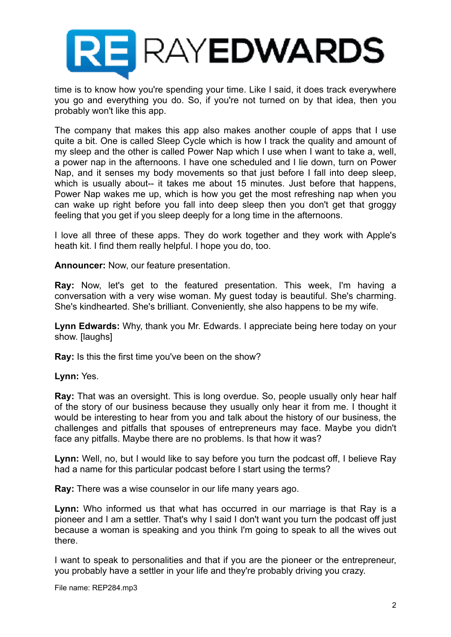

time is to know how you're spending your time. Like I said, it does track everywhere you go and everything you do. So, if you're not turned on by that idea, then you probably won't like this app.

The company that makes this app also makes another couple of apps that I use quite a bit. One is called Sleep Cycle which is how I track the quality and amount of my sleep and the other is called Power Nap which I use when I want to take a, well, a power nap in the afternoons. I have one scheduled and I lie down, turn on Power Nap, and it senses my body movements so that just before I fall into deep sleep, which is usually about-- it takes me about 15 minutes. Just before that happens, Power Nap wakes me up, which is how you get the most refreshing nap when you can wake up right before you fall into deep sleep then you don't get that groggy feeling that you get if you sleep deeply for a long time in the afternoons.

I love all three of these apps. They do work together and they work with Apple's heath kit. I find them really helpful. I hope you do, too.

**Announcer:** Now, our feature presentation.

**Ray:** Now, let's get to the featured presentation. This week, I'm having a conversation with a very wise woman. My guest today is beautiful. She's charming. She's kindhearted. She's brilliant. Conveniently, she also happens to be my wife.

**Lynn Edwards:** Why, thank you Mr. Edwards. I appreciate being here today on your show. [laughs]

**Ray:** Is this the first time you've been on the show?

**Lynn:** Yes.

**Ray:** That was an oversight. This is long overdue. So, people usually only hear half of the story of our business because they usually only hear it from me. I thought it would be interesting to hear from you and talk about the history of our business, the challenges and pitfalls that spouses of entrepreneurs may face. Maybe you didn't face any pitfalls. Maybe there are no problems. Is that how it was?

**Lynn:** Well, no, but I would like to say before you turn the podcast off, I believe Ray had a name for this particular podcast before I start using the terms?

**Ray:** There was a wise counselor in our life many years ago.

**Lynn:** Who informed us that what has occurred in our marriage is that Ray is a pioneer and I am a settler. That's why I said I don't want you turn the podcast off just because a woman is speaking and you think I'm going to speak to all the wives out there.

I want to speak to personalities and that if you are the pioneer or the entrepreneur, you probably have a settler in your life and they're probably driving you crazy.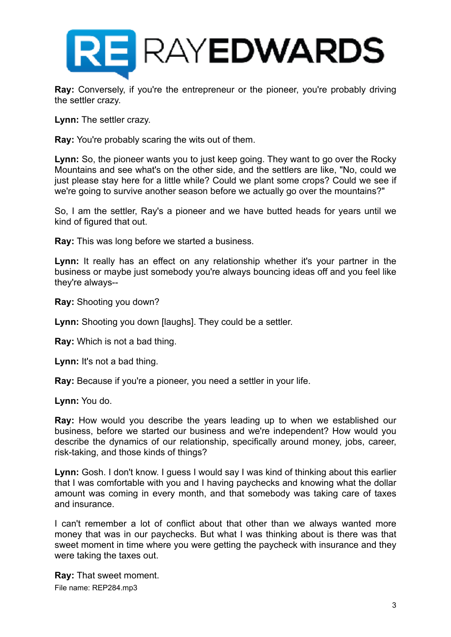

**Ray:** Conversely, if you're the entrepreneur or the pioneer, you're probably driving the settler crazy.

**Lynn:** The settler crazy.

**Ray:** You're probably scaring the wits out of them.

**Lynn:** So, the pioneer wants you to just keep going. They want to go over the Rocky Mountains and see what's on the other side, and the settlers are like, "No, could we just please stay here for a little while? Could we plant some crops? Could we see if we're going to survive another season before we actually go over the mountains?"

So, I am the settler, Ray's a pioneer and we have butted heads for years until we kind of figured that out.

**Ray:** This was long before we started a business.

**Lynn:** It really has an effect on any relationship whether it's your partner in the business or maybe just somebody you're always bouncing ideas off and you feel like they're always--

**Ray:** Shooting you down?

**Lynn:** Shooting you down [laughs]. They could be a settler.

**Ray:** Which is not a bad thing.

**Lynn:** It's not a bad thing.

**Ray:** Because if you're a pioneer, you need a settler in your life.

**Lynn:** You do.

**Ray:** How would you describe the years leading up to when we established our business, before we started our business and we're independent? How would you describe the dynamics of our relationship, specifically around money, jobs, career, risk-taking, and those kinds of things?

**Lynn:** Gosh. I don't know. I guess I would say I was kind of thinking about this earlier that I was comfortable with you and I having paychecks and knowing what the dollar amount was coming in every month, and that somebody was taking care of taxes and insurance.

I can't remember a lot of conflict about that other than we always wanted more money that was in our paychecks. But what I was thinking about is there was that sweet moment in time where you were getting the paycheck with insurance and they were taking the taxes out.

**Ray:** That sweet moment. File name: REP284.mp3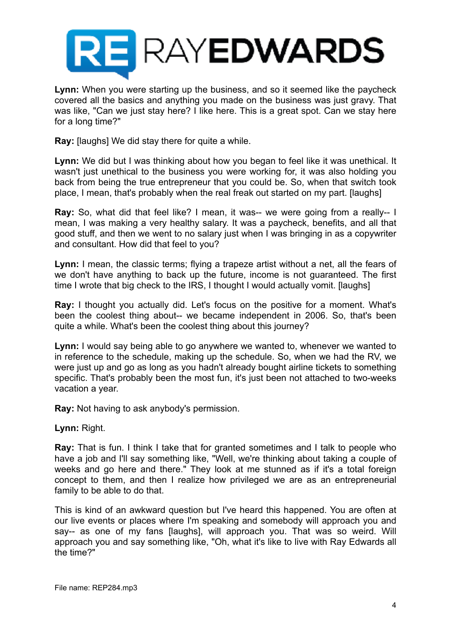

**Lynn:** When you were starting up the business, and so it seemed like the paycheck covered all the basics and anything you made on the business was just gravy. That was like, "Can we just stay here? I like here. This is a great spot. Can we stay here for a long time?"

**Ray:** [laughs] We did stay there for quite a while.

**Lynn:** We did but I was thinking about how you began to feel like it was unethical. It wasn't just unethical to the business you were working for, it was also holding you back from being the true entrepreneur that you could be. So, when that switch took place, I mean, that's probably when the real freak out started on my part. [laughs]

**Ray:** So, what did that feel like? I mean, it was-- we were going from a really-- I mean, I was making a very healthy salary. It was a paycheck, benefits, and all that good stuff, and then we went to no salary just when I was bringing in as a copywriter and consultant. How did that feel to you?

**Lynn:** I mean, the classic terms; flying a trapeze artist without a net, all the fears of we don't have anything to back up the future, income is not guaranteed. The first time I wrote that big check to the IRS, I thought I would actually vomit. [laughs]

**Ray:** I thought you actually did. Let's focus on the positive for a moment. What's been the coolest thing about-- we became independent in 2006. So, that's been quite a while. What's been the coolest thing about this journey?

**Lynn:** I would say being able to go anywhere we wanted to, whenever we wanted to in reference to the schedule, making up the schedule. So, when we had the RV, we were just up and go as long as you hadn't already bought airline tickets to something specific. That's probably been the most fun, it's just been not attached to two-weeks vacation a year.

**Ray:** Not having to ask anybody's permission.

**Lynn:** Right.

**Ray:** That is fun. I think I take that for granted sometimes and I talk to people who have a job and I'll say something like, "Well, we're thinking about taking a couple of weeks and go here and there." They look at me stunned as if it's a total foreign concept to them, and then I realize how privileged we are as an entrepreneurial family to be able to do that.

This is kind of an awkward question but I've heard this happened. You are often at our live events or places where I'm speaking and somebody will approach you and say-- as one of my fans [laughs], will approach you. That was so weird. Will approach you and say something like, "Oh, what it's like to live with Ray Edwards all the time?"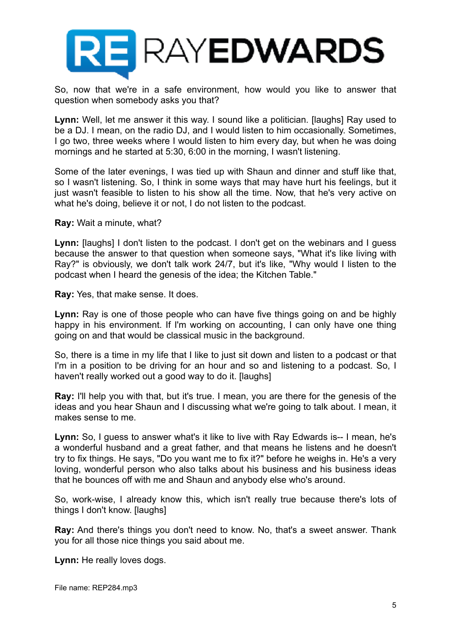

So, now that we're in a safe environment, how would you like to answer that question when somebody asks you that?

**Lynn:** Well, let me answer it this way. I sound like a politician. [laughs] Ray used to be a DJ. I mean, on the radio DJ, and I would listen to him occasionally. Sometimes, I go two, three weeks where I would listen to him every day, but when he was doing mornings and he started at 5:30, 6:00 in the morning, I wasn't listening.

Some of the later evenings, I was tied up with Shaun and dinner and stuff like that, so I wasn't listening. So, I think in some ways that may have hurt his feelings, but it just wasn't feasible to listen to his show all the time. Now, that he's very active on what he's doing, believe it or not, I do not listen to the podcast.

**Ray:** Wait a minute, what?

**Lynn:** [laughs] I don't listen to the podcast. I don't get on the webinars and I guess because the answer to that question when someone says, "What it's like living with Ray?" is obviously, we don't talk work 24/7, but it's like, "Why would I listen to the podcast when I heard the genesis of the idea; the Kitchen Table."

**Ray:** Yes, that make sense. It does.

**Lynn:** Ray is one of those people who can have five things going on and be highly happy in his environment. If I'm working on accounting, I can only have one thing going on and that would be classical music in the background.

So, there is a time in my life that I like to just sit down and listen to a podcast or that I'm in a position to be driving for an hour and so and listening to a podcast. So, I haven't really worked out a good way to do it. [laughs]

**Ray:** I'll help you with that, but it's true. I mean, you are there for the genesis of the ideas and you hear Shaun and I discussing what we're going to talk about. I mean, it makes sense to me.

**Lynn:** So, I guess to answer what's it like to live with Ray Edwards is-- I mean, he's a wonderful husband and a great father, and that means he listens and he doesn't try to fix things. He says, "Do you want me to fix it?" before he weighs in. He's a very loving, wonderful person who also talks about his business and his business ideas that he bounces off with me and Shaun and anybody else who's around.

So, work-wise, I already know this, which isn't really true because there's lots of things I don't know. [laughs]

**Ray:** And there's things you don't need to know. No, that's a sweet answer. Thank you for all those nice things you said about me.

**Lynn:** He really loves dogs.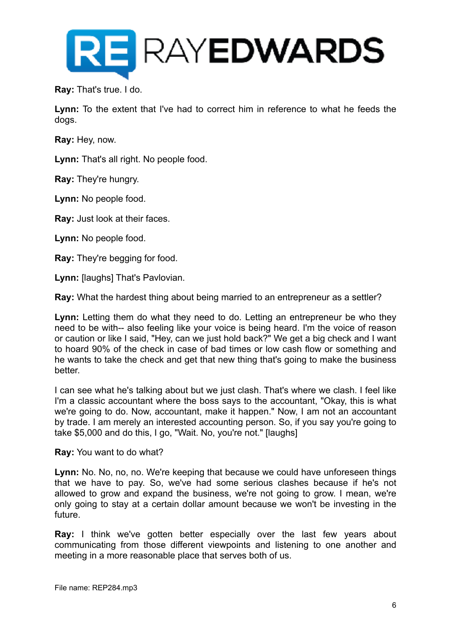

**Ray:** That's true. I do.

**Lynn:** To the extent that I've had to correct him in reference to what he feeds the dogs.

**Ray:** Hey, now.

**Lynn:** That's all right. No people food.

**Ray:** They're hungry.

**Lynn:** No people food.

**Ray:** Just look at their faces.

**Lynn:** No people food.

**Ray:** They're begging for food.

**Lynn:** [laughs] That's Pavlovian.

**Ray:** What the hardest thing about being married to an entrepreneur as a settler?

**Lynn:** Letting them do what they need to do. Letting an entrepreneur be who they need to be with-- also feeling like your voice is being heard. I'm the voice of reason or caution or like I said, "Hey, can we just hold back?" We get a big check and I want to hoard 90% of the check in case of bad times or low cash flow or something and he wants to take the check and get that new thing that's going to make the business better.

I can see what he's talking about but we just clash. That's where we clash. I feel like I'm a classic accountant where the boss says to the accountant, "Okay, this is what we're going to do. Now, accountant, make it happen." Now, I am not an accountant by trade. I am merely an interested accounting person. So, if you say you're going to take \$5,000 and do this, I go, "Wait. No, you're not." [laughs]

**Ray:** You want to do what?

**Lynn:** No. No, no, no. We're keeping that because we could have unforeseen things that we have to pay. So, we've had some serious clashes because if he's not allowed to grow and expand the business, we're not going to grow. I mean, we're only going to stay at a certain dollar amount because we won't be investing in the future.

**Ray:** I think we've gotten better especially over the last few years about communicating from those different viewpoints and listening to one another and meeting in a more reasonable place that serves both of us.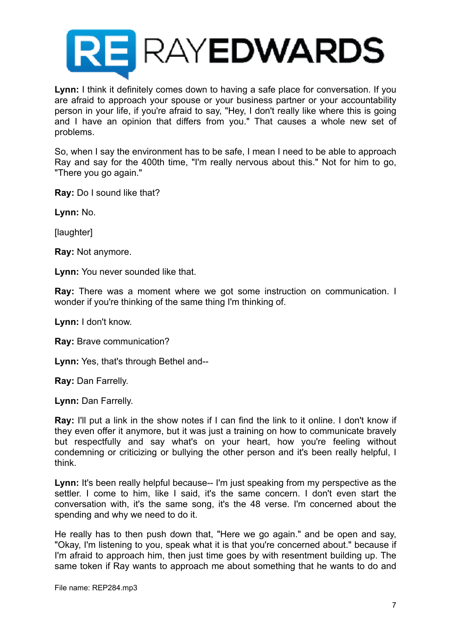

**Lynn:** I think it definitely comes down to having a safe place for conversation. If you are afraid to approach your spouse or your business partner or your accountability person in your life, if you're afraid to say, "Hey, I don't really like where this is going and I have an opinion that differs from you." That causes a whole new set of problems.

So, when I say the environment has to be safe, I mean I need to be able to approach Ray and say for the 400th time, "I'm really nervous about this." Not for him to go, "There you go again."

**Ray:** Do I sound like that?

**Lynn:** No.

[laughter]

**Ray:** Not anymore.

**Lynn:** You never sounded like that.

**Ray:** There was a moment where we got some instruction on communication. I wonder if you're thinking of the same thing I'm thinking of.

**Lynn:** I don't know.

**Ray:** Brave communication?

**Lynn:** Yes, that's through Bethel and--

**Ray:** Dan Farrelly.

**Lynn:** Dan Farrelly.

**Ray:** I'll put a link in the show notes if I can find the link to it online. I don't know if they even offer it anymore, but it was just a training on how to communicate bravely but respectfully and say what's on your heart, how you're feeling without condemning or criticizing or bullying the other person and it's been really helpful, I think.

**Lynn:** It's been really helpful because-- I'm just speaking from my perspective as the settler. I come to him, like I said, it's the same concern. I don't even start the conversation with, it's the same song, it's the 48 verse. I'm concerned about the spending and why we need to do it.

He really has to then push down that, "Here we go again." and be open and say, "Okay, I'm listening to you, speak what it is that you're concerned about." because if I'm afraid to approach him, then just time goes by with resentment building up. The same token if Ray wants to approach me about something that he wants to do and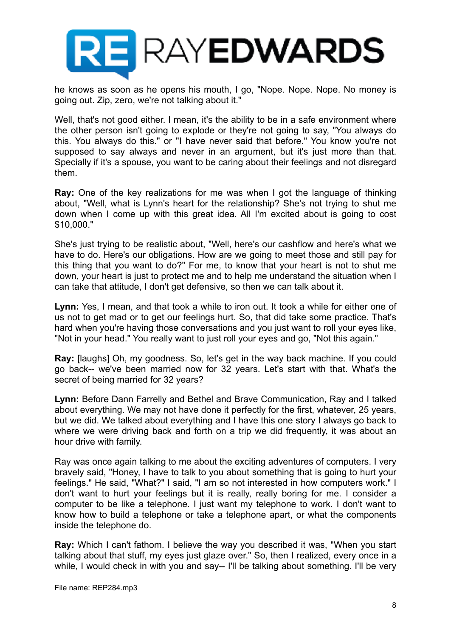

he knows as soon as he opens his mouth, I go, "Nope. Nope. Nope. No money is going out. Zip, zero, we're not talking about it."

Well, that's not good either. I mean, it's the ability to be in a safe environment where the other person isn't going to explode or they're not going to say, "You always do this. You always do this." or "I have never said that before." You know you're not supposed to say always and never in an argument, but it's just more than that. Specially if it's a spouse, you want to be caring about their feelings and not disregard them.

**Ray:** One of the key realizations for me was when I got the language of thinking about, "Well, what is Lynn's heart for the relationship? She's not trying to shut me down when I come up with this great idea. All I'm excited about is going to cost \$10,000."

She's just trying to be realistic about, "Well, here's our cashflow and here's what we have to do. Here's our obligations. How are we going to meet those and still pay for this thing that you want to do?" For me, to know that your heart is not to shut me down, your heart is just to protect me and to help me understand the situation when I can take that attitude, I don't get defensive, so then we can talk about it.

**Lynn:** Yes, I mean, and that took a while to iron out. It took a while for either one of us not to get mad or to get our feelings hurt. So, that did take some practice. That's hard when you're having those conversations and you just want to roll your eyes like, "Not in your head." You really want to just roll your eyes and go, "Not this again."

**Ray:** [laughs] Oh, my goodness. So, let's get in the way back machine. If you could go back-- we've been married now for 32 years. Let's start with that. What's the secret of being married for 32 years?

**Lynn:** Before Dann Farrelly and Bethel and Brave Communication, Ray and I talked about everything. We may not have done it perfectly for the first, whatever, 25 years, but we did. We talked about everything and I have this one story I always go back to where we were driving back and forth on a trip we did frequently, it was about an hour drive with family.

Ray was once again talking to me about the exciting adventures of computers. I very bravely said, "Honey, I have to talk to you about something that is going to hurt your feelings." He said, "What?" I said, "I am so not interested in how computers work." I don't want to hurt your feelings but it is really, really boring for me. I consider a computer to be like a telephone. I just want my telephone to work. I don't want to know how to build a telephone or take a telephone apart, or what the components inside the telephone do.

**Ray:** Which I can't fathom. I believe the way you described it was, "When you start talking about that stuff, my eyes just glaze over." So, then I realized, every once in a while, I would check in with you and say-- I'll be talking about something. I'll be very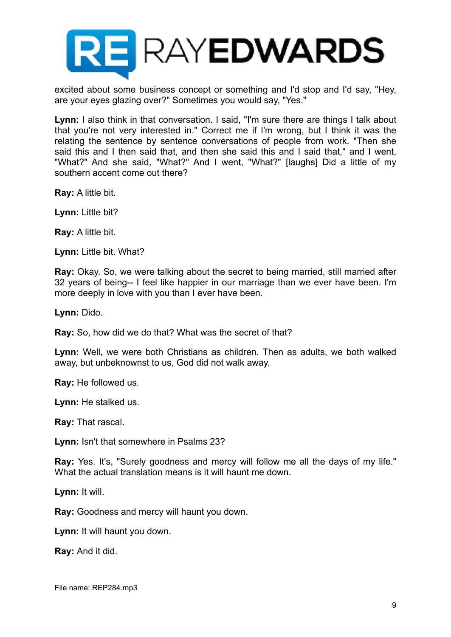

excited about some business concept or something and I'd stop and I'd say, "Hey, are your eyes glazing over?" Sometimes you would say, "Yes."

Lynn: I also think in that conversation. I said, "I'm sure there are things I talk about that you're not very interested in." Correct me if I'm wrong, but I think it was the relating the sentence by sentence conversations of people from work. "Then she said this and I then said that, and then she said this and I said that," and I went, "What?" And she said, "What?" And I went, "What?" [laughs] Did a little of my southern accent come out there?

**Ray:** A little bit.

**Lynn:** Little bit?

**Ray:** A little bit.

**Lynn:** Little bit. What?

**Ray:** Okay. So, we were talking about the secret to being married, still married after 32 years of being-- I feel like happier in our marriage than we ever have been. I'm more deeply in love with you than I ever have been.

**Lynn:** Dido.

**Ray:** So, how did we do that? What was the secret of that?

**Lynn:** Well, we were both Christians as children. Then as adults, we both walked away, but unbeknownst to us, God did not walk away.

**Ray:** He followed us.

**Lynn:** He stalked us.

**Ray:** That rascal.

**Lynn:** Isn't that somewhere in Psalms 23?

**Ray:** Yes. It's, "Surely goodness and mercy will follow me all the days of my life." What the actual translation means is it will haunt me down.

**Lynn:** It will.

**Ray:** Goodness and mercy will haunt you down.

**Lynn:** It will haunt you down.

**Ray:** And it did.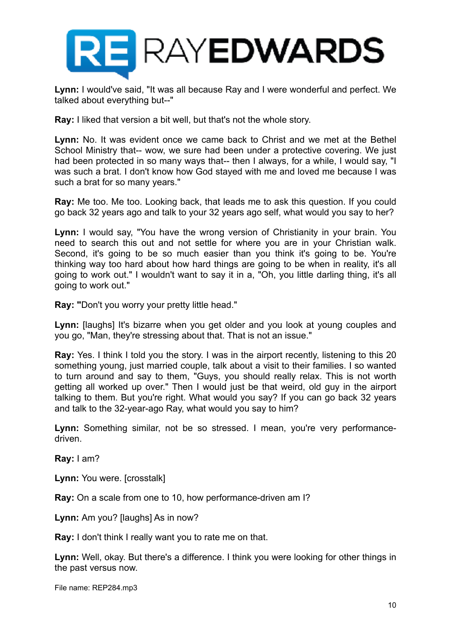

**Lynn:** I would've said, "It was all because Ray and I were wonderful and perfect. We talked about everything but--"

**Ray:** I liked that version a bit well, but that's not the whole story.

**Lynn:** No. It was evident once we came back to Christ and we met at the Bethel School Ministry that-- wow, we sure had been under a protective covering. We just had been protected in so many ways that-- then I always, for a while, I would say, "I was such a brat. I don't know how God stayed with me and loved me because I was such a brat for so many years."

**Ray:** Me too. Me too. Looking back, that leads me to ask this question. If you could go back 32 years ago and talk to your 32 years ago self, what would you say to her?

**Lynn:** I would say, "You have the wrong version of Christianity in your brain. You need to search this out and not settle for where you are in your Christian walk. Second, it's going to be so much easier than you think it's going to be. You're thinking way too hard about how hard things are going to be when in reality, it's all going to work out." I wouldn't want to say it in a, "Oh, you little darling thing, it's all going to work out."

**Ray: "**Don't you worry your pretty little head."

Lynn: [laughs] It's bizarre when you get older and you look at young couples and you go, "Man, they're stressing about that. That is not an issue."

**Ray:** Yes. I think I told you the story. I was in the airport recently, listening to this 20 something young, just married couple, talk about a visit to their families. I so wanted to turn around and say to them, "Guys, you should really relax. This is not worth getting all worked up over." Then I would just be that weird, old guy in the airport talking to them. But you're right. What would you say? If you can go back 32 years and talk to the 32-year-ago Ray, what would you say to him?

**Lynn:** Something similar, not be so stressed. I mean, you're very performancedriven.

**Ray:** I am?

**Lynn:** You were. [crosstalk]

**Ray:** On a scale from one to 10, how performance-driven am I?

**Lynn:** Am you? [laughs] As in now?

**Ray:** I don't think I really want you to rate me on that.

**Lynn:** Well, okay. But there's a difference. I think you were looking for other things in the past versus now.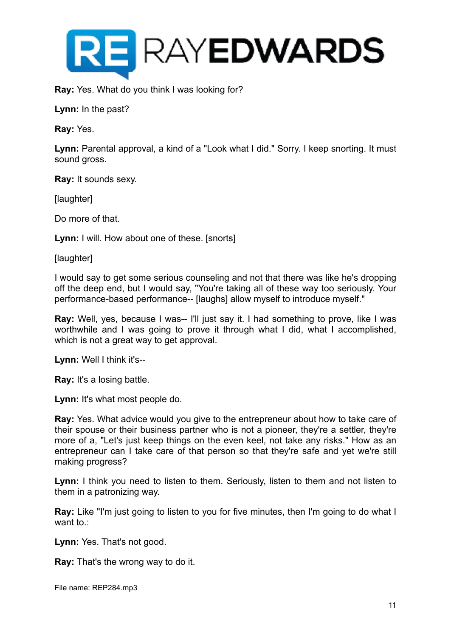

**Ray:** Yes. What do you think I was looking for?

**Lynn:** In the past?

**Ray:** Yes.

**Lynn:** Parental approval, a kind of a "Look what I did." Sorry. I keep snorting. It must sound gross.

**Ray:** It sounds sexy.

[laughter]

Do more of that.

**Lynn:** I will. How about one of these. [snorts]

[laughter]

I would say to get some serious counseling and not that there was like he's dropping off the deep end, but I would say, "You're taking all of these way too seriously. Your performance-based performance-- [laughs] allow myself to introduce myself."

**Ray:** Well, yes, because I was-- I'll just say it. I had something to prove, like I was worthwhile and I was going to prove it through what I did, what I accomplished, which is not a great way to get approval.

**Lynn:** Well I think it's--

**Ray:** It's a losing battle.

Lynn: It's what most people do.

**Ray:** Yes. What advice would you give to the entrepreneur about how to take care of their spouse or their business partner who is not a pioneer, they're a settler, they're more of a, "Let's just keep things on the even keel, not take any risks." How as an entrepreneur can I take care of that person so that they're safe and yet we're still making progress?

Lynn: I think you need to listen to them. Seriously, listen to them and not listen to them in a patronizing way.

**Ray:** Like "I'm just going to listen to you for five minutes, then I'm going to do what I want to.:

**Lynn:** Yes. That's not good.

**Ray:** That's the wrong way to do it.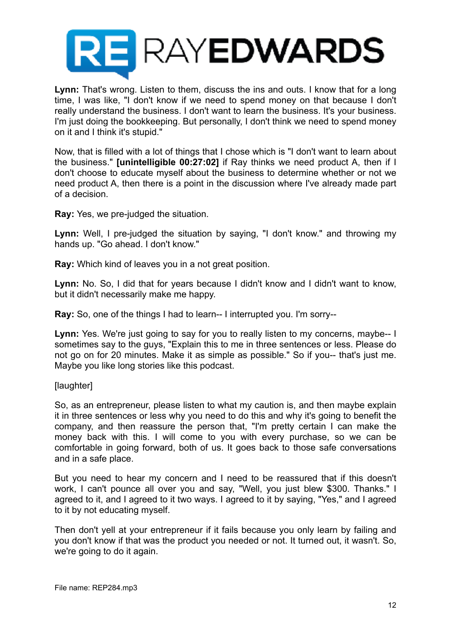

**Lynn:** That's wrong. Listen to them, discuss the ins and outs. I know that for a long time, I was like, "I don't know if we need to spend money on that because I don't really understand the business. I don't want to learn the business. It's your business. I'm just doing the bookkeeping. But personally, I don't think we need to spend money on it and I think it's stupid."

Now, that is filled with a lot of things that I chose which is "I don't want to learn about the business." **[unintelligible 00:27:02]** if Ray thinks we need product A, then if I don't choose to educate myself about the business to determine whether or not we need product A, then there is a point in the discussion where I've already made part of a decision.

**Ray:** Yes, we pre-judged the situation.

**Lynn:** Well, I pre-judged the situation by saying, "I don't know." and throwing my hands up. "Go ahead. I don't know."

**Ray:** Which kind of leaves you in a not great position.

**Lynn:** No. So, I did that for years because I didn't know and I didn't want to know, but it didn't necessarily make me happy.

**Ray:** So, one of the things I had to learn-- I interrupted you. I'm sorry--

Lynn: Yes. We're just going to say for you to really listen to my concerns, maybe-- I sometimes say to the guys, "Explain this to me in three sentences or less. Please do not go on for 20 minutes. Make it as simple as possible." So if you-- that's just me. Maybe you like long stories like this podcast.

#### [laughter]

So, as an entrepreneur, please listen to what my caution is, and then maybe explain it in three sentences or less why you need to do this and why it's going to benefit the company, and then reassure the person that, "I'm pretty certain I can make the money back with this. I will come to you with every purchase, so we can be comfortable in going forward, both of us. It goes back to those safe conversations and in a safe place.

But you need to hear my concern and I need to be reassured that if this doesn't work, I can't pounce all over you and say, "Well, you just blew \$300. Thanks." I agreed to it, and I agreed to it two ways. I agreed to it by saying, "Yes," and I agreed to it by not educating myself.

Then don't yell at your entrepreneur if it fails because you only learn by failing and you don't know if that was the product you needed or not. It turned out, it wasn't. So, we're going to do it again.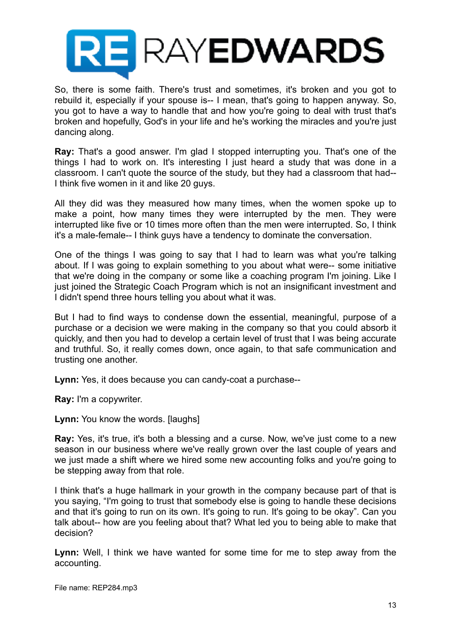

So, there is some faith. There's trust and sometimes, it's broken and you got to rebuild it, especially if your spouse is-- I mean, that's going to happen anyway. So, you got to have a way to handle that and how you're going to deal with trust that's broken and hopefully, God's in your life and he's working the miracles and you're just dancing along.

**Ray:** That's a good answer. I'm glad I stopped interrupting you. That's one of the things I had to work on. It's interesting I just heard a study that was done in a classroom. I can't quote the source of the study, but they had a classroom that had-- I think five women in it and like 20 guys.

All they did was they measured how many times, when the women spoke up to make a point, how many times they were interrupted by the men. They were interrupted like five or 10 times more often than the men were interrupted. So, I think it's a male-female-- I think guys have a tendency to dominate the conversation.

One of the things I was going to say that I had to learn was what you're talking about. If I was going to explain something to you about what were-- some initiative that we're doing in the company or some like a coaching program I'm joining. Like I just joined the Strategic Coach Program which is not an insignificant investment and I didn't spend three hours telling you about what it was.

But I had to find ways to condense down the essential, meaningful, purpose of a purchase or a decision we were making in the company so that you could absorb it quickly, and then you had to develop a certain level of trust that I was being accurate and truthful. So, it really comes down, once again, to that safe communication and trusting one another.

**Lynn:** Yes, it does because you can candy-coat a purchase--

**Ray:** I'm a copywriter.

**Lynn:** You know the words. [laughs]

**Ray:** Yes, it's true, it's both a blessing and a curse. Now, we've just come to a new season in our business where we've really grown over the last couple of years and we just made a shift where we hired some new accounting folks and you're going to be stepping away from that role.

I think that's a huge hallmark in your growth in the company because part of that is you saying, "I'm going to trust that somebody else is going to handle these decisions and that it's going to run on its own. It's going to run. It's going to be okay". Can you talk about-- how are you feeling about that? What led you to being able to make that decision?

**Lynn:** Well, I think we have wanted for some time for me to step away from the accounting.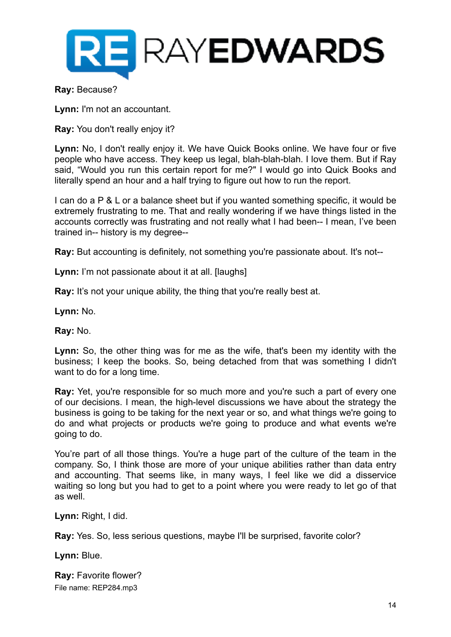

#### **Ray:** Because?

**Lynn:** I'm not an accountant.

**Ray:** You don't really enjoy it?

**Lynn:** No, I don't really enjoy it. We have Quick Books online. We have four or five people who have access. They keep us legal, blah-blah-blah. I love them. But if Ray said, "Would you run this certain report for me?" I would go into Quick Books and literally spend an hour and a half trying to figure out how to run the report.

I can do a P & L or a balance sheet but if you wanted something specific, it would be extremely frustrating to me. That and really wondering if we have things listed in the accounts correctly was frustrating and not really what I had been-- I mean, I've been trained in-- history is my degree--

**Ray:** But accounting is definitely, not something you're passionate about. It's not--

**Lynn:** I'm not passionate about it at all. [laughs]

**Ray:** It's not your unique ability, the thing that you're really best at.

**Lynn:** No.

**Ray:** No.

**Lynn:** So, the other thing was for me as the wife, that's been my identity with the business; I keep the books. So, being detached from that was something I didn't want to do for a long time.

**Ray:** Yet, you're responsible for so much more and you're such a part of every one of our decisions. I mean, the high-level discussions we have about the strategy the business is going to be taking for the next year or so, and what things we're going to do and what projects or products we're going to produce and what events we're going to do.

You're part of all those things. You're a huge part of the culture of the team in the company. So, I think those are more of your unique abilities rather than data entry and accounting. That seems like, in many ways, I feel like we did a disservice waiting so long but you had to get to a point where you were ready to let go of that as well.

**Lynn:** Right, I did.

**Ray:** Yes. So, less serious questions, maybe I'll be surprised, favorite color?

**Lynn:** Blue.

**Ray:** Favorite flower? File name: REP284.mp3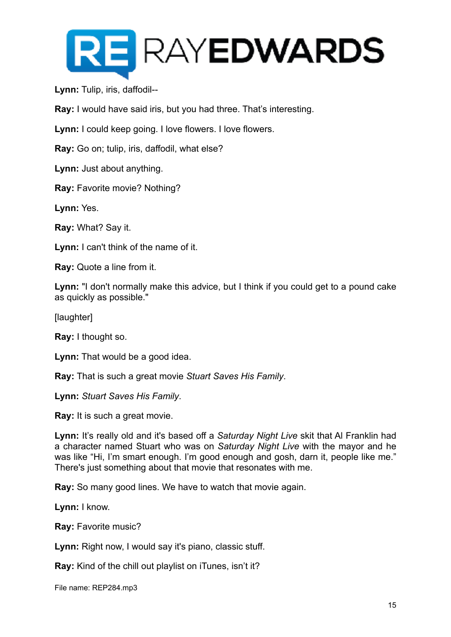

**Lynn:** Tulip, iris, daffodil--

**Ray:** I would have said iris, but you had three. That's interesting.

**Lynn:** I could keep going. I love flowers. I love flowers.

**Ray:** Go on; tulip, iris, daffodil, what else?

**Lynn:** Just about anything.

**Ray:** Favorite movie? Nothing?

**Lynn:** Yes.

**Ray:** What? Say it.

**Lynn:** I can't think of the name of it.

**Ray:** Quote a line from it.

**Lynn:** "I don't normally make this advice, but I think if you could get to a pound cake as quickly as possible."

[laughter]

**Ray:** I thought so.

**Lynn:** That would be a good idea.

**Ray:** That is such a great movie *Stuart Saves His Family*.

**Lynn:** *Stuart Saves His Family*.

**Ray:** It is such a great movie.

**Lynn:** It's really old and it's based off a *Saturday Night Live* skit that Al Franklin had a character named Stuart who was on *Saturday Night Live* with the mayor and he was like "Hi, I'm smart enough. I'm good enough and gosh, darn it, people like me." There's just something about that movie that resonates with me.

**Ray:** So many good lines. We have to watch that movie again.

**Lynn:** I know.

**Ray:** Favorite music?

**Lynn:** Right now, I would say it's piano, classic stuff.

**Ray:** Kind of the chill out playlist on iTunes, isn't it?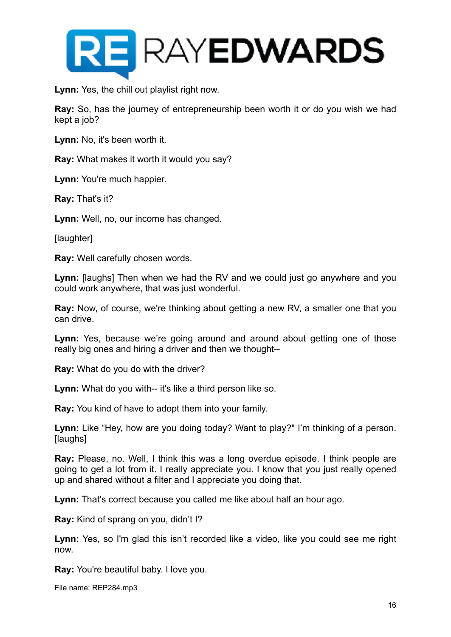

**Lynn:** Yes, the chill out playlist right now.

**Ray:** So, has the journey of entrepreneurship been worth it or do you wish we had kept a job?

**Lynn:** No, it's been worth it.

**Ray:** What makes it worth it would you say?

**Lynn:** You're much happier.

**Ray:** That's it?

**Lynn:** Well, no, our income has changed.

[laughter]

**Ray:** Well carefully chosen words.

**Lynn:** [laughs] Then when we had the RV and we could just go anywhere and you could work anywhere, that was just wonderful.

**Ray:** Now, of course, we're thinking about getting a new RV, a smaller one that you can drive.

**Lynn:** Yes, because we're going around and around about getting one of those really big ones and hiring a driver and then we thought--

**Ray:** What do you do with the driver?

**Lynn:** What do you with-- it's like a third person like so.

**Ray:** You kind of have to adopt them into your family.

**Lynn:** Like "Hey, how are you doing today? Want to play?" I'm thinking of a person. [laughs]

**Ray:** Please, no. Well, I think this was a long overdue episode. I think people are going to get a lot from it. I really appreciate you. I know that you just really opened up and shared without a filter and I appreciate you doing that.

**Lynn:** That's correct because you called me like about half an hour ago.

**Ray:** Kind of sprang on you, didn't I?

**Lynn:** Yes, so I'm glad this isn't recorded like a video, like you could see me right now.

**Ray:** You're beautiful baby. I love you.